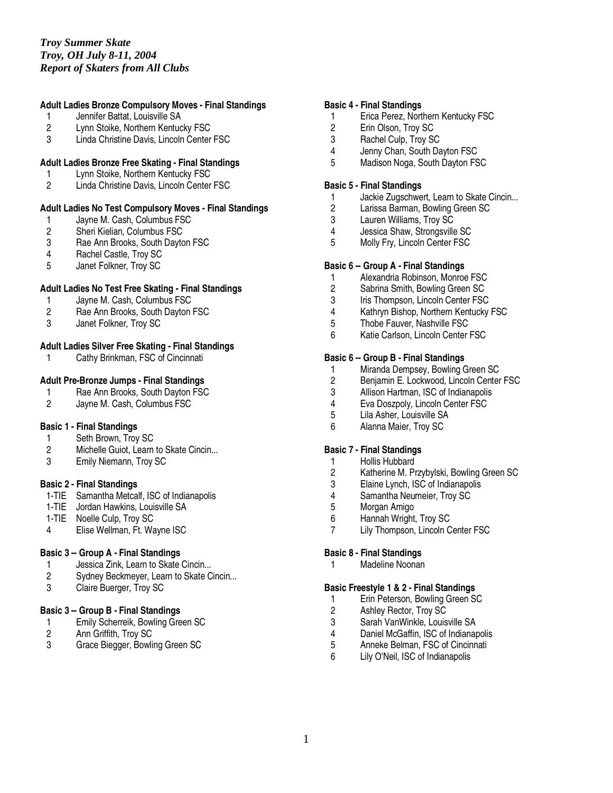## **Adult Ladies Bronze Compulsory Moves - Final Standings**

- 1 Jennifer Battat, Louisville SA
- 2 Lynn Stoike, Northern Kentucky FSC<br>3 Linda Christine Davis. Lincoln Center
- Linda Christine Davis, Lincoln Center FSC

# **Adult Ladies Bronze Free Skating - Final Standings**

- 1 Lynn Stoike, Northern Kentucky FSC
- 2 Linda Christine Davis, Lincoln Center FSC

#### **Adult Ladies No Test Compulsory Moves - Final Standings**

- 1 Jayne M. Cash, Columbus FSC<br>2 Sheri Kielian, Columbus FSC
- 2 Sheri Kielian, Columbus FSC<br>3 Rae Ann Brooks, South Dayto
- 3 Rae Ann Brooks, South Dayton FSC<br>4 Rachel Castle. Trov SC
- Rachel Castle, Troy SC
- 5 Janet Folkner, Troy SC

#### **Adult Ladies No Test Free Skating - Final Standings**

- 1 Jayne M. Cash, Columbus FSC<br>2 Rae Ann Brooks. South Davton
- Rae Ann Brooks, South Dayton FSC
- 3 Janet Folkner, Troy SC

## **Adult Ladies Silver Free Skating - Final Standings**

1 Cathy Brinkman, FSC of Cincinnati

## **Adult Pre-Bronze Jumps - Final Standings**

- 1 Rae Ann Brooks, South Dayton FSC<br>2 Javne M. Cash. Columbus FSC
- Jayne M. Cash, Columbus FSC

#### **Basic 1 - Final Standings**

- 1 Seth Brown, Troy SC
- 2 Michelle Guiot, Learn to Skate Cincin...
- 3 Emily Niemann, Troy SC

#### **Basic 2 - Final Standings**

- 1-TIE Samantha Metcalf, ISC of Indianapolis
- 1-TIE Jordan Hawkins, Louisville SA
- 1-TIE Noelle Culp, Troy SC
- 4 Elise Wellman, Ft. Wayne ISC

#### **Basic 3 -- Group A - Final Standings**

- 1 Jessica Zink, Learn to Skate Cincin...<br>2 Sydney Beckmeyer, Learn to Skate C
- Sydney Beckmeyer, Learn to Skate Cincin...
- 3 Claire Buerger, Troy SC

## **Basic 3 -- Group B - Final Standings**

- 1 Emily Scherreik, Bowling Green SC<br>2 Ann Griffith, Troy SC
- 2 Ann Griffith, Troy SC<br>3 Grace Biegger, Bowlin
- Grace Biegger, Bowling Green SC

#### **Basic 4 - Final Standings**

- 1 Erica Perez, Northern Kentucky FSC
- 2 Erin Olson, Troy SC<br>3 Rachel Culp. Trov SC
- Rachel Culp, Troy SC
- 4 Jenny Chan, South Dayton FSC
- 5 Madison Noga, South Dayton FSC

## **Basic 5 - Final Standings**

- 1 Jackie Zugschwert, Learn to Skate Cincin...<br>2 Larissa Barman. Bowling Green SC
- 2 Larissa Barman, Bowling Green SC<br>3 Lauren Williams, Troy SC
- 3 Lauren Williams, Troy SC
- 4 Jessica Shaw, Strongsville SC<br>5 Molly Frv. Lincoln Center FSC
- Molly Fry, Lincoln Center FSC

#### **Basic 6 -- Group A - Final Standings**

- 1 Alexandria Robinson, Monroe FSC<br>2 Sabrina Smith. Bowling Green SC
- Sabrina Smith, Bowling Green SC
- 3 Iris Thompson, Lincoln Center FSC
- 4 Kathryn Bishop, Northern Kentucky FSC
- 5 Thobe Fauver, Nashville FSC
- 6 Katie Carlson, Lincoln Center FSC

## **Basic 6 -- Group B - Final Standings**

- 1 Miranda Dempsey, Bowling Green SC<br>2 Benjamin E. Lockwood, Lincoln Center
- 2 Benjamin E. Lockwood, Lincoln Center FSC<br>3 Allison Hartman. ISC of Indianapolis
- 3 Allison Hartman, ISC of Indianapolis<br>4 Eva Doszpolv. Lincoln Center FSC
- 4 Eva Doszpoly, Lincoln Center FSC<br>5 Lila Asher. Louisville SA
- 5 Lila Asher, Louisville SA
- 6 Alanna Maier, Troy SC

## **Basic 7 - Final Standings**

- 1 Hollis Hubbard<br>2 Katherine M. Pr
- 2 Katherine M. Przybylski, Bowling Green SC<br>3 Elaine Lynch. ISC of Indianapolis
- 3 Elaine Lynch, ISC of Indianapolis<br>4 Samantha Neumeier, Troy SC
- 4 Samantha Neumeier, Troy SC<br>5 Morgan Amigo
- 5 Morgan Amigo
- Hannah Wright, Troy SC
- 7 Lily Thompson, Lincoln Center FSC

### **Basic 8 - Final Standings**

1 Madeline Noonan

#### **Basic Freestyle 1 & 2 - Final Standings**

- 1 Erin Peterson, Bowling Green SC
- 2 Ashley Rector, Troy SC
- 3 Sarah VanWinkle, Louisville SA
- 4 Daniel McGaffin, ISC of Indianapolis<br>5 Anneke Belman, FSC of Cincinnati
- 5 Anneke Belman, FSC of Cincinnati
- 6 Lily O'Neil, ISC of Indianapolis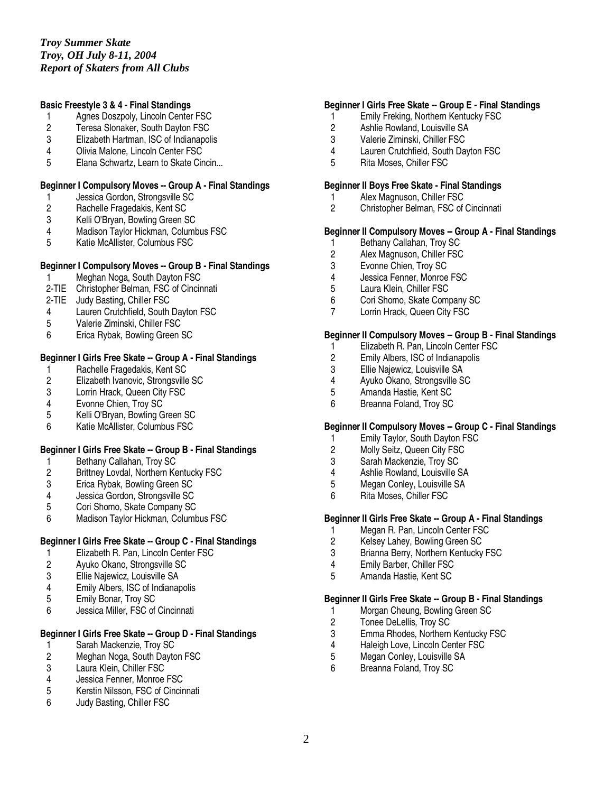## **Basic Freestyle 3 & 4 - Final Standings**

- 1 Agnes Doszpoly, Lincoln Center FSC
- 2 Teresa Slonaker, South Dayton FSC<br>3 Elizabeth Hartman, ISC of Indianapoli
- Elizabeth Hartman, ISC of Indianapolis
- 4 Olivia Malone, Lincoln Center FSC
- 5 Elana Schwartz, Learn to Skate Cincin...

## **Beginner I Compulsory Moves -- Group A - Final Standings**

- 1 Jessica Gordon, Strongsville SC<br>2 Rachelle Fragedakis, Kent SC
- 2 Rachelle Fragedakis, Kent SC<br>3 Kelli O'Bryan, Bowling Green S
- 3 Kelli O'Bryan, Bowling Green SC
- 4 Madison Taylor Hickman, Columbus FSC<br>5 Katie McAllister. Columbus FSC
- 5 Katie McAllister, Columbus FSC

#### **Beginner I Compulsory Moves -- Group B - Final Standings**

- 1 Meghan Noga, South Dayton FSC
- 2-TIE Christopher Belman, FSC of Cincinnati
- 2-TIE Judy Basting, Chiller FSC
- 4 Lauren Crutchfield, South Dayton FSC
- 5 Valerie Ziminski, Chiller FSC
- 6 Erica Rybak, Bowling Green SC

# **Beginner I Girls Free Skate -- Group A - Final Standings**

- 1 Rachelle Fragedakis, Kent SC<br>2 Elizabeth Ivanovic, Strongsville
- 2 Elizabeth Ivanovic, Strongsville SC<br>3 Lorrin Hrack, Queen City FSC
- 3 Lorrin Hrack, Queen City FSC<br>4 Evonne Chien. Trov SC
- 4 Evonne Chien, Troy SC<br>5 Kelli O'Brvan. Bowling G
- 5 Kelli O'Bryan, Bowling Green SC
- 6 Katie McAllister, Columbus FSC

## **Beginner I Girls Free Skate -- Group B - Final Standings**

- 1 Bethany Callahan, Troy SC<br>2 Brittney Lovdal, Northern Ke
- 2 Brittney Lovdal, Northern Kentucky FSC<br>3 Erica Rybak, Bowling Green SC
- 
- 3 Erica Rybak, Bowling Green SC<br>4 Jessica Gordon, Strongsville SC 4 Jessica Gordon, Strongsville SC<br>5 Cori Shomo, Skate Company SC
- 5 Cori Shomo, Skate Company SC<br>6 Madison Tavlor Hickman, Columb
- Madison Taylor Hickman, Columbus FSC

## **Beginner I Girls Free Skate -- Group C - Final Standings**

- 1 Elizabeth R. Pan, Lincoln Center FSC<br>2 Ayuko Okano, Strongsville SC
- 2 Ayuko Okano, Strongsville SC<br>3 Ellie Naiewicz, Louisville SA
- 3 Ellie Najewicz, Louisville SA
- 4 Emily Albers, ISC of Indianapolis<br>5 Emily Bonar, Troy SC
- 5 Emily Bonar, Troy SC
- 6 Jessica Miller, FSC of Cincinnati

# **Beginner I Girls Free Skate -- Group D - Final Standings**

- 1 Sarah Mackenzie, Troy SC<br>2 Meghan Noga, South Dayto
- 2 Meghan Noga, South Dayton FSC<br>3 Laura Klein, Chiller FSC
- 3 Laura Klein, Chiller FSC<br>4 Jessica Fenner, Monroe
- 4 Jessica Fenner, Monroe FSC
- 5 Kerstin Nilsson, FSC of Cincinnati
- 6 Judy Basting, Chiller FSC

## **Beginner I Girls Free Skate -- Group E - Final Standings**

- 1 Emily Freking, Northern Kentucky FSC
- 2 Ashlie Rowland, Louisville SA<br>3 Valerie Ziminski. Chiller FSC
- 3 Valerie Ziminski, Chiller FSC
- 4 Lauren Crutchfield, South Dayton FSC
- 5 Rita Moses, Chiller FSC

#### **Beginner II Boys Free Skate - Final Standings**

- 1 Alex Magnuson, Chiller FSC<br>2 Christopher Belman. FSC of
- 2 Christopher Belman, FSC of Cincinnati

# **Beginner II Compulsory Moves -- Group A - Final Standings**

- 1 Bethany Callahan, Troy SC<br>2 Alex Magnuson, Chiller FSC
- 2 Alex Magnuson, Chiller FSC<br>3 Evonne Chien. Trov SC
- Evonne Chien, Troy SC
- 4 Jessica Fenner, Monroe FSC<br>5 Laura Klein. Chiller FSC
- Laura Klein, Chiller FSC
- 6 Cori Shomo, Skate Company SC
- 7 Lorrin Hrack, Queen City FSC

## **Beginner II Compulsory Moves -- Group B - Final Standings**

- 1 Elizabeth R. Pan, Lincoln Center FSC<br>2 Emily Albers, ISC of Indianapolis
- 2 Emily Albers, ISC of Indianapolis<br>3 Ellie Najewicz, Louisville SA
- 3 Ellie Najewicz, Louisville SA<br>4 Ayuko Okano, Strongsville SI
- 4 Ayuko Okano, Strongsville SC
- 5 Amanda Hastie, Kent SC
- 6 Breanna Foland, Troy SC

## **Beginner II Compulsory Moves -- Group C - Final Standings**

- 1 Emily Taylor, South Dayton FSC
- 2 Molly Seitz, Queen City FSC
- 3 Sarah Mackenzie, Troy SC
- 4 Ashlie Rowland, Louisville SA<br>5 Megan Conley, Louisville SA
- 5 Megan Conley, Louisville SA<br>6 Rita Moses, Chiller FSC
- 6 Rita Moses, Chiller FSC

## **Beginner II Girls Free Skate -- Group A - Final Standings**

- 1 Megan R. Pan, Lincoln Center FSC<br>2 Kelsev Lahev. Bowling Green SC
- Kelsey Lahey, Bowling Green SC
- 3 Brianna Berry, Northern Kentucky FSC
- 4 Emily Barber, Chiller FSC
- 5 Amanda Hastie, Kent SC

#### **Beginner II Girls Free Skate -- Group B - Final Standings**

- 1 Morgan Cheung, Bowling Green SC<br>2 Tonee DeLellis, Trov SC
- 2 Tonee DeLellis, Troy SC<br>3 Emma Rhodes, Northern
- 3 Emma Rhodes, Northern Kentucky FSC<br>4 Haleigh Love, Lincoln Center FSC
- 4 Haleigh Love, Lincoln Center FSC<br>5 Megan Conley, Louisville SA
- 5 Megan Conley, Louisville SA<br>6 Breanna Foland. Trov SC
- 6 Breanna Foland, Troy SC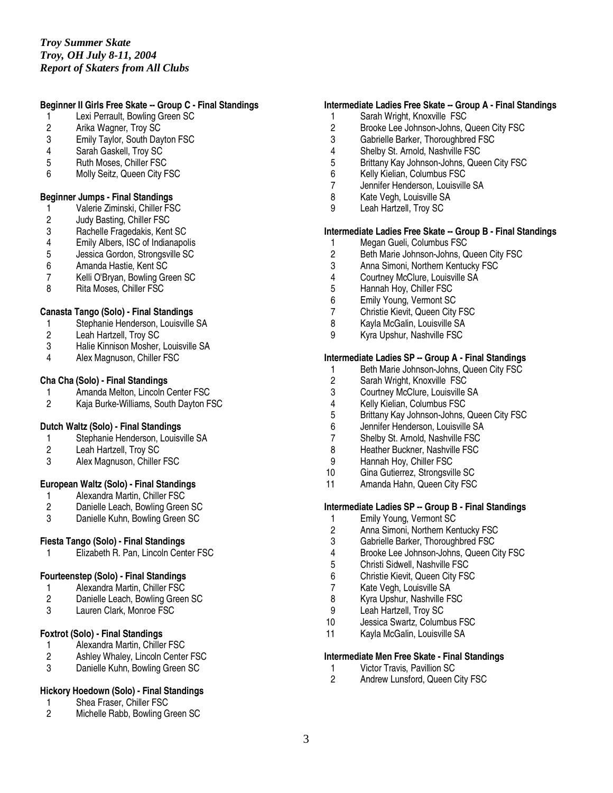# *Troy Summer Skate Troy, OH July 8-11, 2004 Report of Skaters from All Clubs*

## **Beginner II Girls Free Skate -- Group C - Final Standings**

- 1 Lexi Perrault, Bowling Green SC
- 2 Arika Wagner, Troy SC<br>3 Emily Taylor. South Day
- **Emily Taylor, South Dayton FSC**
- 4 Sarah Gaskell, Troy SC
- 5 Ruth Moses, Chiller FSC
- 6 Molly Seitz, Queen City FSC

## **Beginner Jumps - Final Standings**

- 1 Valerie Ziminski, Chiller FSC<br>2 Judy Basting, Chiller FSC
- 2 Judy Basting, Chiller FSC<br>3 Rachelle Fragedakis, Kent
- 3 Rachelle Fragedakis, Kent SC<br>4 Emily Albers, ISC of Indianapo
- 4 Emily Albers, ISC of Indianapolis<br>5 Jessica Gordon, Strongsville SC
- 5 Jessica Gordon, Strongsville SC<br>6 Amanda Hastie, Kent SC
- 6 Amanda Hastie, Kent SC
- 7 Kelli O'Bryan, Bowling Green SC<br>8 Rita Moses, Chiller FSC
- Rita Moses, Chiller FSC

## **Canasta Tango (Solo) - Final Standings**

- 1 Stephanie Henderson, Louisville SA
- 2 Leah Hartzell, Troy SC
- 3 Halie Kinnison Mosher, Louisville SA<br>4 Alex Magnuson, Chiller FSC
- Alex Magnuson, Chiller FSC

#### **Cha Cha (Solo) - Final Standings**

- 1 Amanda Melton, Lincoln Center FSC<br>2 Kaia Burke-Williams. South Davton F
- 2 Kaja Burke-Williams, South Dayton FSC

## **Dutch Waltz (Solo) - Final Standings**

- 1 Stephanie Henderson, Louisville SA<br>2 Leah Hartzell, Troy SC
- Leah Hartzell, Troy SC
- 3 Alex Magnuson, Chiller FSC

## **European Waltz (Solo) - Final Standings**

- 
- 1 Alexandra Martin, Chiller FSC<br>2 Danielle Leach, Bowling Green 2 Danielle Leach, Bowling Green SC<br>3 Danielle Kuhn. Bowling Green SC
- Danielle Kuhn, Bowling Green SC

## **Fiesta Tango (Solo) - Final Standings**

1 Elizabeth R. Pan, Lincoln Center FSC

## **Fourteenstep (Solo) - Final Standings**

- 1 Alexandra Martin, Chiller FSC<br>2 Danielle Leach, Bowling Greer
- Danielle Leach, Bowling Green SC
- 3 Lauren Clark, Monroe FSC

## **Foxtrot (Solo) - Final Standings**

- 1 Alexandra Martin, Chiller FSC<br>2 Ashlev Whalev. Lincoln Center
- Ashley Whaley, Lincoln Center FSC
- 3 Danielle Kuhn, Bowling Green SC

## **Hickory Hoedown (Solo) - Final Standings**

- 1 Shea Fraser, Chiller FSC<br>2 Michelle Rabb. Bowling G
- Michelle Rabb, Bowling Green SC

## **Intermediate Ladies Free Skate -- Group A - Final Standings**

- 1 Sarah Wright, Knoxville FSC
- 2 Brooke Lee Johnson-Johns, Queen City FSC<br>3 Gabrielle Barker. Thoroughbred FSC
- Gabrielle Barker, Thoroughbred FSC
- 4 Shelby St. Arnold, Nashville FSC
- 5 Brittany Kay Johnson-Johns, Queen City FSC
- Kelly Kielian, Columbus FSC
- 7 Jennifer Henderson, Louisville SA
- 8 Kate Vegh, Louisville SA<br>9 Leah Hartzell Troy SC
- Leah Hartzell, Troy SC

## **Intermediate Ladies Free Skate -- Group B - Final Standings**

- 1 Megan Gueli, Columbus FSC<br>2 Beth Marie Johnson-Johns. Q
- 2 Beth Marie Johnson-Johns, Queen City FSC<br>3 Anna Simoni. Northern Kentucky FSC
- Anna Simoni, Northern Kentucky FSC
- 4 Courtney McClure, Louisville SA<br>5 Hannah Hov. Chiller FSC
- Hannah Hoy, Chiller FSC
- 6 Emily Young, Vermont SC
- 7 Christie Kievit, Queen City FSC
- 8 Kayla McGalin, Louisville SA
- 9 Kyra Upshur, Nashville FSC

## **Intermediate Ladies SP -- Group A - Final Standings**

- 1 Beth Marie Johnson-Johns, Queen City FSC<br>2 Sarah Wright, Knoxville FSC
- 2 Sarah Wright, Knoxville FSC<br>3 Courtney McClure, Louisville
- 3 Courtney McClure, Louisville SA<br>4 Kelly Kielian. Columbus FSC
- 4 Kelly Kielian, Columbus FSC<br>5 Brittany Kay Johnson-Johns.
- 5 Brittany Kay Johnson-Johns, Queen City FSC
- 6 Jennifer Henderson, Louisville SA<br>7 Shelby St. Arnold. Nashville FSC
- Shelby St. Arnold, Nashville FSC
- 8 Heather Buckner, Nashville FSC
- 9 Hannah Hoy, Chiller FSC<br>10 Gina Gutierrez, Strongsvil
- 10 Gina Gutierrez, Strongsville SC<br>11 Amanda Hahn. Queen City FSC
- Amanda Hahn, Queen City FSC

## **Intermediate Ladies SP -- Group B - Final Standings**

- 1 Emily Young, Vermont SC<br>2 Anna Simoni. Northern Ker
- 2 Anna Simoni, Northern Kentucky FSC
- 3 Gabrielle Barker, Thoroughbred FSC
- 4 Brooke Lee Johnson-Johns, Queen City FSC<br>5 Christi Sidwell, Nashville FSC
- 5 Christi Sidwell, Nashville FSC
- 6 Christie Kievit, Queen City FSC
- 7 Kate Vegh, Louisville SA<br>8 Kyra Upshur, Nashville F
- Kyra Upshur, Nashville FSC
- 9 Leah Hartzell, Troy SC
- 10 Jessica Swartz, Columbus FSC<br>11 Kavla McGalin. Louisville SA
- Kayla McGalin, Louisville SA

## **Intermediate Men Free Skate - Final Standings**

- 1 Victor Travis, Pavillion SC<br>2 Andrew Lunsford. Queen C
- 2 Andrew Lunsford, Queen City FSC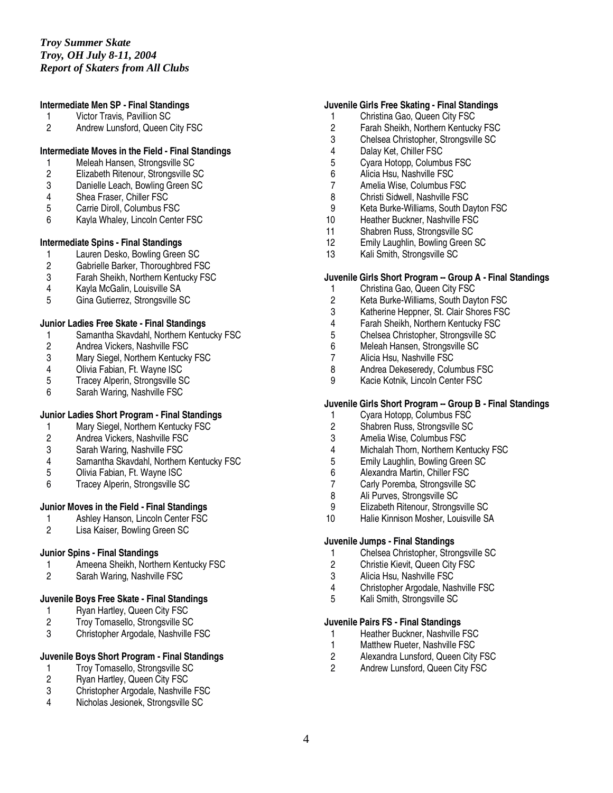## **Intermediate Men SP - Final Standings**

- 1 Victor Travis, Pavillion SC
- 2 Andrew Lunsford, Queen City FSC

## **Intermediate Moves in the Field - Final Standings**

- 1 Meleah Hansen, Strongsville SC<br>2 Elizabeth Ritenour, Strongsville S
- 2 Elizabeth Ritenour, Strongsville SC
- 3 Danielle Leach, Bowling Green SC
- 4 Shea Fraser, Chiller FSC<br>5 Carrie Diroll. Columbus FS
- 5 Carrie Diroll, Columbus FSC
- 6 Kayla Whaley, Lincoln Center FSC

## **Intermediate Spins - Final Standings**

- 1 Lauren Desko, Bowling Green SC<br>2 Gabrielle Barker. Thoroughbred FS
- Gabrielle Barker, Thoroughbred FSC
- 3 Farah Sheikh, Northern Kentucky FSC<br>4 Kayla McGalin, Louisville SA
- 4 Kayla McGalin, Louisville SA
- 5 Gina Gutierrez, Strongsville SC

#### **Junior Ladies Free Skate - Final Standings**

- 1 Samantha Skavdahl, Northern Kentucky FSC
- 2 Andrea Vickers, Nashville FSC<br>3 Mary Siegel, Northern Kentucky
- 3 Mary Siegel, Northern Kentucky FSC<br>4 Olivia Fabian. Ft. Wavne ISC
- 4 Olivia Fabian, Ft. Wayne ISC<br>5 Tracey Alperin, Strongsville S
- 5 Tracey Alperin, Strongsville SC
- 6 Sarah Waring, Nashville FSC

## **Junior Ladies Short Program - Final Standings**

- 1 Mary Siegel, Northern Kentucky FSC<br>2 Andrea Vickers. Nashville FSC
- 2 Andrea Vickers, Nashville FSC
- 3 Sarah Waring, Nashville FSC
- 4 Samantha Skavdahl, Northern Kentucky FSC<br>5 Olivia Fabian, Ft. Wavne ISC
- 5 Olivia Fabian, Ft. Wayne ISC<br>6 Tracev Alperin. Strongsville S
- Tracey Alperin, Strongsville SC

## **Junior Moves in the Field - Final Standings**

- 1 Ashley Hanson, Lincoln Center FSC<br>2 Lisa Kaiser. Bowling Green SC
- Lisa Kaiser, Bowling Green SC

## **Junior Spins - Final Standings**

- 1 Ameena Sheikh, Northern Kentucky FSC<br>2 Sarah Waring, Nashville FSC
- Sarah Waring, Nashville FSC

## **Juvenile Boys Free Skate - Final Standings**

- 1 Ryan Hartley, Queen City FSC<br>2 Troy Tomasello, Strongsville SC
- 2 Troy Tomasello, Strongsville SC<br>3 Christopher Argodale, Nashville I
- 3 Christopher Argodale, Nashville FSC

## **Juvenile Boys Short Program - Final Standings**

- 1 Troy Tomasello, Strongsville SC<br>2 Rvan Hartlev. Queen City FSC
- Ryan Hartley, Queen City FSC
- 3 Christopher Argodale, Nashville FSC
- 4 Nicholas Jesionek, Strongsville SC

## **Juvenile Girls Free Skating - Final Standings**

- 1 Christina Gao, Queen City FSC
- 2 Farah Sheikh, Northern Kentucky FSC<br>3 Chelsea Christopher. Strongsville SC
- 3 Chelsea Christopher, Strongsville SC
- 4 Dalay Ket, Chiller FSC
- 5 Cyara Hotopp, Columbus FSC<br>6 Alicia Hsu. Nashville FSC
- 6 Alicia Hsu, Nashville FSC
- 7 Amelia Wise, Columbus FSC
- 8 Christi Sidwell, Nashville FSC<br>9 Keta Burke-Williams, South Da
- 9 Keta Burke-Williams, South Dayton FSC<br>10 Heather Buckner, Nashville FSC
- Heather Buckner, Nashville FSC
- 11 Shabren Russ, Strongsville SC
- 12 Emily Laughlin, Bowling Green SC<br>13 Kali Smith, Strongsville SC
- Kali Smith, Strongsville SC

## **Juvenile Girls Short Program -- Group A - Final Standings**

- 1 Christina Gao, Queen City FSC
- 
- 2 Keta Burke-Williams, South Dayton FSC Katherine Heppner, St. Clair Shores FSC
- 4 Farah Sheikh, Northern Kentucky FSC
- 5 Chelsea Christopher, Strongsville SC
- 6 Meleah Hansen, Strongsville SC
- 
- 7 Alicia Hsu, Nashville FSC<br>8 Andrea Dekeseredy. Colui 8 Andrea Dekeseredy, Columbus FSC
- 9 Kacie Kotnik, Lincoln Center FSC

## **Juvenile Girls Short Program -- Group B - Final Standings**

- 1 Cyara Hotopp, Columbus FSC
- 2 Shabren Russ, Strongsville SC<br>3 Amelia Wise, Columbus FSC
- 3 Amelia Wise, Columbus FSC
- 4 Michalah Thorn, Northern Kentucky FSC
- 5 Emily Laughlin, Bowling Green SC<br>6 Alexandra Martin, Chiller FSC
- 6 Alexandra Martin, Chiller FSC
- 7 Carly Poremba, Strongsville SC<br>8 Ali Purves, Strongsville SC
- Ali Purves, Strongsville SC
- 9 Elizabeth Ritenour, Strongsville SC<br>10 Halie Kinnison Mosher, Louisville SA
- Halie Kinnison Mosher, Louisville SA

#### **Juvenile Jumps - Final Standings**

- 1 Chelsea Christopher, Strongsville SC
- 2 Christie Kievit, Queen City FSC<br>3 Alicia Hsu. Nashville FSC
- 3 Alicia Hsu, Nashville FSC
- 4 Christopher Argodale, Nashville FSC<br>5 Kali Smith. Strongsville SC
- 5 Kali Smith, Strongsville SC

### **Juvenile Pairs FS - Final Standings**

- 1 Heather Buckner, Nashville FSC<br>1 Matthew Rueter, Nashville FSC
- 1 Matthew Rueter, Nashville FSC<br>2 Alexandra Lunsford, Queen City
- 2 Alexandra Lunsford, Queen City FSC<br>2 Andrew Lunsford, Queen City FSC
- 2 Andrew Lunsford, Queen City FSC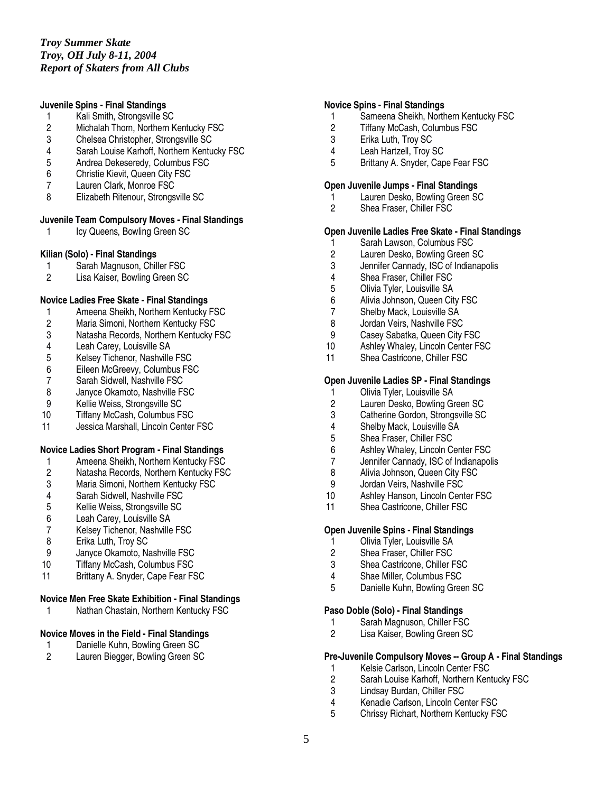## **Juvenile Spins - Final Standings**

- 1 Kali Smith, Strongsville SC
- 2 Michalah Thorn, Northern Kentucky FSC<br>3 Chelsea Christopher, Strongsville SC
- 3 Chelsea Christopher, Strongsville SC
- 4 Sarah Louise Karhoff, Northern Kentucky FSC
- 5 Andrea Dekeseredy, Columbus FSC<br>6 Christie Kievit. Queen City FSC
- 6 Christie Kievit, Queen City FSC
- 7 Lauren Clark, Monroe FSC
- 8 Elizabeth Ritenour, Strongsville SC

## **Juvenile Team Compulsory Moves - Final Standings**

1 Icy Queens, Bowling Green SC

#### **Kilian (Solo) - Final Standings**

- 1 Sarah Magnuson, Chiller FSC<br>2 Lisa Kaiser. Bowling Green SC
- Lisa Kaiser, Bowling Green SC

#### **Novice Ladies Free Skate - Final Standings**

- 1 Ameena Sheikh, Northern Kentucky FSC
- 2 Maria Simoni, Northern Kentucky FSC
- 3 Natasha Records, Northern Kentucky FSC
- 
- 4 Leah Carey, Louisville SA<br>5 Kelsey Tichenor, Nashville 5 Kelsey Tichenor, Nashville FSC<br>6 Eileen McGreevy, Columbus FS
- 6 Eileen McGreevy, Columbus FSC<br>7 Sarah Sidwell, Nashville FSC
- 7 Sarah Sidwell, Nashville FSC<br>8 Janvce Okamoto, Nashville F
- 8 Janyce Okamoto, Nashville FSC<br>9 Kellie Weiss, Strongsville SC
- 9 Kellie Weiss, Strongsville SC<br>10 Tiffany McCash. Columbus FS
- Tiffany McCash, Columbus FSC
- 11 Jessica Marshall, Lincoln Center FSC

#### **Novice Ladies Short Program - Final Standings**

- 1 Ameena Sheikh, Northern Kentucky FSC<br>2 Natasha Records, Northern Kentucky FSC
- 2 Natasha Records, Northern Kentucky FSC<br>3 Maria Simoni. Northern Kentucky FSC
- 3 Maria Simoni, Northern Kentucky FSC<br>4 Sarah Sidwell, Nashville FSC
- 
- 4 Sarah Sidwell, Nashville FSC<br>5 Kellie Weiss, Strongsville SC 5 Kellie Weiss, Strongsville SC<br>6 Leah Carey, Louisville SA
- 
- 6 Leah Carey, Louisville SA 7 Kelsey Tichenor, Nashville FSC<br>8 Erika Luth. Trov SC
- Erika Luth, Trov SC
- 9 Janyce Okamoto, Nashville FSC
- 10 Tiffany McCash, Columbus FSC
- 11 Brittany A. Snyder, Cape Fear FSC

## **Novice Men Free Skate Exhibition - Final Standings**

1 Nathan Chastain, Northern Kentucky FSC

## **Novice Moves in the Field - Final Standings**

- 1 Danielle Kuhn, Bowling Green SC<br>2 Lauren Biegger, Bowling Green SC
- Lauren Biegger, Bowling Green SC

#### **Novice Spins - Final Standings**

- 1 Sameena Sheikh, Northern Kentucky FSC
- 2 Tiffany McCash, Columbus FSC<br>3 Erika Luth. Trov SC
- Erika Luth, Troy SC
- 4 Leah Hartzell, Troy SC
- 5 Brittany A. Snyder, Cape Fear FSC

## **Open Juvenile Jumps - Final Standings**

- 1 Lauren Desko, Bowling Green SC<br>2 Shea Fraser. Chiller FSC
- Shea Fraser, Chiller FSC

## **Open Juvenile Ladies Free Skate - Final Standings**

- 1 Sarah Lawson, Columbus FSC<br>2 Lauren Desko, Bowling Green S
- 2 Lauren Desko, Bowling Green SC<br>3 Jennifer Cannady. ISC of Indianap
- Jennifer Cannady, ISC of Indianapolis
- 4 Shea Fraser, Chiller FSC<br>5 Olivia Tvler. Louisville SA
- 5 Olivia Tyler, Louisville SA
- 6 Alivia Johnson, Queen City FSC
- 7 Shelby Mack, Louisville SA
- 8 Jordan Veirs, Nashville FSC<br>9 Casey Sabatka, Queen City
- Casey Sabatka, Queen City FSC
- 10 Ashley Whaley, Lincoln Center FSC<br>11 Shea Castricone. Chiller FSC
- Shea Castricone, Chiller FSC

#### **Open Juvenile Ladies SP - Final Standings**

- 1 Olivia Tyler, Louisville SA<br>2 Lauren Desko, Bowling Gr
- 2 Lauren Desko, Bowling Green SC<br>3 Catherine Gordon. Strongsville SC
- Catherine Gordon, Strongsville SC
- 4 Shelby Mack, Louisville SA<br>5 Shea Fraser. Chiller FSC
- 5 Shea Fraser, Chiller FSC
- 6 Ashley Whaley, Lincoln Center FSC
- 7 Jennifer Cannady, ISC of Indianapolis<br>8 Alivia Johnson. Queen City FSC
- 8 Alivia Johnson, Queen City FSC<br>9 .Jordan Veirs Nashville FSC
- 9 Jordan Veirs, Nashville FSC<br>10 Ashley Hanson, Lincoln Cent
- Ashley Hanson, Lincoln Center FSC
- 11 Shea Castricone, Chiller FSC

## **Open Juvenile Spins - Final Standings**

- 1 Olivia Tyler, Louisville SA
- 2 Shea Fraser, Chiller FSC<br>3 Shea Castricone, Chiller F
- Shea Castricone, Chiller FSC
- 4 Shae Miller, Columbus FSC
- 5 Danielle Kuhn, Bowling Green SC

#### **Paso Doble (Solo) - Final Standings**

- 1 Sarah Magnuson, Chiller FSC<br>2 Lisa Kaiser. Bowling Green SC
- Lisa Kaiser, Bowling Green SC

## **Pre-Juvenile Compulsory Moves -- Group A - Final Standings**

- 1 Kelsie Carlson, Lincoln Center FSC<br>2 Sarah Louise Karhoff. Northern Keni
- Sarah Louise Karhoff, Northern Kentucky FSC
- 3 Lindsay Burdan, Chiller FSC<br>4 Kenadie Carlson, Lincoln Cer
- 4 Kenadie Carlson, Lincoln Center FSC<br>5 Chrissy Richart Northern Kentucky FS
- 5 Chrissy Richart, Northern Kentucky FSC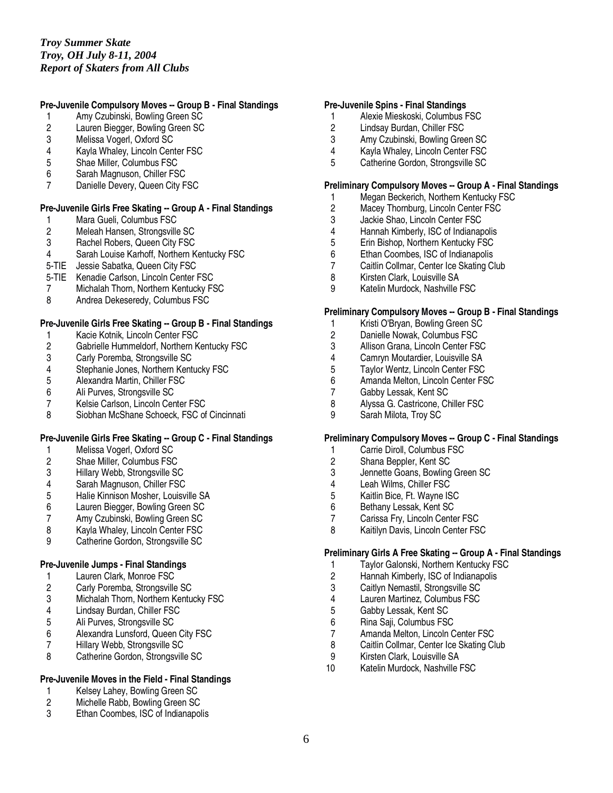# **Pre-Juvenile Compulsory Moves -- Group B - Final Standings**

- 1 Amy Czubinski, Bowling Green SC
- 2 Lauren Biegger, Bowling Green SC<br>3 Melissa Vogerl, Oxford SC
- Melissa Vogerl, Oxford SC
- 4 Kayla Whaley, Lincoln Center FSC
- 5 Shae Miller, Columbus FSC<br>6 Sarah Magnuson, Chiller FS
- Sarah Magnuson, Chiller FSC
- 7 Danielle Devery, Queen City FSC

## **Pre-Juvenile Girls Free Skating -- Group A - Final Standings**

- 1 Mara Gueli, Columbus FSC<br>2 Meleah Hansen, Strongsville
- 2 Meleah Hansen, Strongsville SC<br>3 Rachel Robers. Queen City FSC
- 3 Rachel Robers, Queen City FSC<br>4 Sarah Louise Karhoff. Northern K
- Sarah Louise Karhoff, Northern Kentucky FSC
- 5-TIE Jessie Sabatka, Queen City FSC
- 5-TIE Kenadie Carlson, Lincoln Center FSC
- 7 Michalah Thorn, Northern Kentucky FSC
- 8 Andrea Dekeseredy, Columbus FSC

## **Pre-Juvenile Girls Free Skating -- Group B - Final Standings**

- 
- 1 Kacie Kotnik, Lincoln Center FSC<br>2 Gabrielle Hummeldorf, Northern K 2 Gabrielle Hummeldorf, Northern Kentucky FSC<br>3 Carly Poremba, Strongsville SC
- 3 Carly Poremba, Strongsville SC<br>4 Stephanie Jones, Northern Kent
- 4 Stephanie Jones, Northern Kentucky FSC<br>5 Alexandra Martin, Chiller FSC
- 5 Alexandra Martin, Chiller FSC
- 6 Ali Purves, Strongsville SC<br>7 Kelsie Carlson, Lincoln Cen
- 7 Kelsie Carlson, Lincoln Center FSC<br>8 Siobhan McShane Schoeck. FSC of
- 8 Siobhan McShane Schoeck, FSC of Cincinnati

## **Pre-Juvenile Girls Free Skating -- Group C - Final Standings**

- 1 Melissa Vogerl, Oxford SC
- 2 Shae Miller, Columbus FSC<br>3 Hillary Webb, Strongsville SO
- 3 Hillary Webb, Strongsville SC<br>4 Sarah Magnuson, Chiller FSC
- 
- 4 Sarah Magnuson, Chiller FSC<br>5 Halie Kinnison Mosher, Louisvi 5 Halie Kinnison Mosher, Louisville SA<br>6 Lauren Biegger, Bowling Green SC
- 6 Lauren Biegger, Bowling Green SC
- 7 Amy Czubinski, Bowling Green SC<br>8 Kavla Whalev. Lincoln Center FSC
- Kayla Whaley, Lincoln Center FSC
- 9 Catherine Gordon, Strongsville SC

## **Pre-Juvenile Jumps - Final Standings**

- 1 Lauren Clark, Monroe FSC
- 2 Carly Poremba, Strongsville SC<br>3 Michalah Thorn, Northern Kentu
- 3 Michalah Thorn, Northern Kentucky FSC
- 4 Lindsay Burdan, Chiller FSC<br>5 Ali Purves, Strongsville SC
- 5 Ali Purves, Strongsville SC<br>6 Alexandra Lunsford, Queen
- 6 Alexandra Lunsford, Queen City FSC<br>7 Hillary Webb, Strongsville SC
- 7 Hillary Webb, Strongsville SC
- 8 Catherine Gordon, Strongsville SC

## **Pre-Juvenile Moves in the Field - Final Standings**

- 1 Kelsey Lahey, Bowling Green SC<br>2 Michelle Rabb. Bowling Green SC
- 2 Michelle Rabb, Bowling Green SC<br>3 Fihan Coombes JSC of Indianapol
- Ethan Coombes, ISC of Indianapolis

#### **Pre-Juvenile Spins - Final Standings**

- 1 Alexie Mieskoski, Columbus FSC
- 2 Lindsay Burdan, Chiller FSC<br>3 Amy Czubinski, Bowling Gree
- Amy Czubinski, Bowling Green SC
- 4 Kayla Whaley, Lincoln Center FSC
- 5 Catherine Gordon, Strongsville SC

## **Preliminary Compulsory Moves -- Group A - Final Standings**

- 1 Megan Beckerich, Northern Kentucky FSC<br>2 Macev Thornburg. Lincoln Center FSC
- Macey Thornburg, Lincoln Center FSC
- 3 Jackie Shao, Lincoln Center FSC<br>4 Hannah Kimberly, ISC of Indianap
- 4 Hannah Kimberly, ISC of Indianapolis<br>5 Erin Bishop, Northern Kentucky FSC
- 5 Erin Bishop, Northern Kentucky FSC<br>6 Ethan Coombes. ISC of Indianapolis
- 6 Ethan Coombes, ISC of Indianapolis<br>7 Caitlin Collmar. Center Ice Skating C
- Caitlin Collmar, Center Ice Skating Club
- 8 Kirsten Clark, Louisville SA<br>9 Katelin Murdock, Nashville F
- Katelin Murdock, Nashville FSC

## **Preliminary Compulsory Moves -- Group B - Final Standings**

- 1 Kristi O'Bryan, Bowling Green SC
- 2 Danielle Nowak, Columbus FSC
- 
- 3 Allison Grana, Lincoln Center FSC<br>4 Camrvn Moutardier. Louisville SA
- 4 Camryn Moutardier, Louisville SA<br>5 Taylor Wentz, Lincoln Center FSC 5 Taylor Wentz, Lincoln Center FSC<br>6 Amanda Melton, Lincoln Center FS
- Amanda Melton, Lincoln Center FSC
- 7 Gabby Lessak, Kent SC<br>8 Alvssa G. Castricone. Ch
- 8 Alyssa G. Castricone, Chiller FSC<br>9 Sarah Milota. Trov SC
- Sarah Milota, Troy SC

#### **Preliminary Compulsory Moves -- Group C - Final Standings**

- 1 Carrie Diroll, Columbus FSC
- 2 Shana Beppler, Kent SC
- 3 Jennette Goans, Bowling Green SC<br>4 Leah Wilms. Chiller FSC
- 4 Leah Wilms, Chiller FSC<br>5 Kaitlin Bice, Ft. Wayne IS
- 5 Kaitlin Bice, Ft. Wayne ISC
- 6 Bethany Lessak, Kent SC
- 7 Carissa Fry, Lincoln Center FSC<br>8 Kaitilyn Davis, Lincoln Center FS
- Kaitilyn Davis, Lincoln Center FSC

### **Preliminary Girls A Free Skating -- Group A - Final Standings**

- 1 Taylor Galonski, Northern Kentucky FSC<br>2 Hannah Kimberly, ISC of Indianapolis
- Hannah Kimberly, ISC of Indianapolis
- 3 Caitlyn Nemastil, Strongsville SC
- 4 Lauren Martinez, Columbus FSC<br>5 Gabby Lessak, Kent SC
- 5 Gabby Lessak, Kent SC
- 6 Rina Saji, Columbus FSC
- 7 Amanda Melton, Lincoln Center FSC<br>8 Caitlin Collmar, Center Ice Skating Cl
- Caitlin Collmar, Center Ice Skating Club
- 9 Kirsten Clark, Louisville SA
- 10 Katelin Murdock, Nashville FSC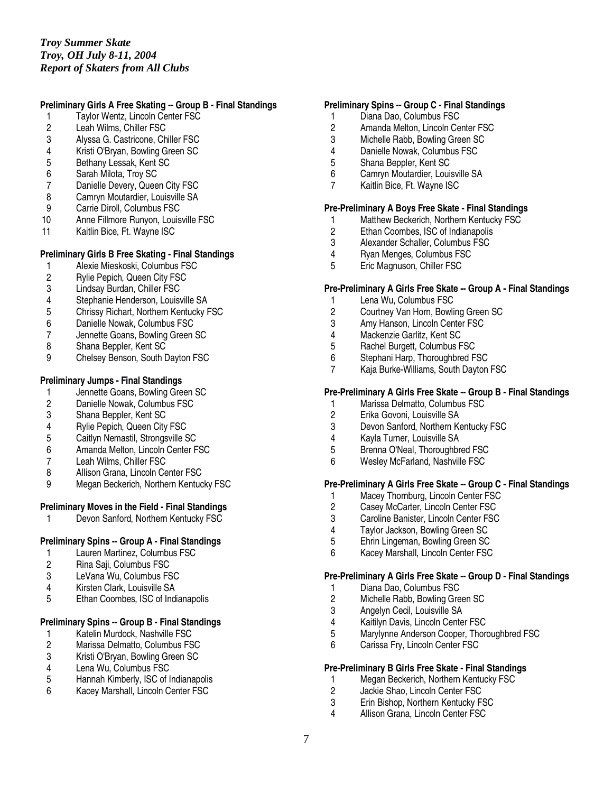## **Preliminary Girls A Free Skating -- Group B - Final Standings**

- 1 Taylor Wentz, Lincoln Center FSC
- 2 Leah Wilms, Chiller FSC<br>3 Alvssa G. Castricone. Ch
- 3 Alyssa G. Castricone, Chiller FSC<br>4 Kristi O'Brvan, Bowling Green SC
- 4 Kristi O'Bryan, Bowling Green SC
- 5 Bethany Lessak, Kent SC<br>6 Sarah Milota, Trov SC
- Sarah Milota, Troy SC
- 7 Danielle Devery, Queen City FSC
- 8 Camryn Moutardier, Louisville SA<br>9 Carrie Diroll. Columbus FSC
- 9 Carrie Diroll, Columbus FSC<br>10 Anne Fillmore Runyon, Louis
- Anne Fillmore Runyon, Louisville FSC
- 11 Kaitlin Bice, Ft. Wayne ISC

## **Preliminary Girls B Free Skating - Final Standings**

- 1 Alexie Mieskoski, Columbus FSC<br>2 Rylie Pepich. Queen City FSC
- 2 Rylie Pepich, Queen City FSC<br>3 Lindsav Burdan. Chiller FSC
- 3 Lindsay Burdan, Chiller FSC
- 4 Stephanie Henderson, Louisville SA<br>5 Chrissy Richart. Northern Kentucky F
- 5 Chrissy Richart, Northern Kentucky FSC
- 6 Danielle Nowak, Columbus FSC
- 7 Jennette Goans, Bowling Green SC
- 8 Shana Beppler, Kent SC<br>9 Chelsev Benson, South D
- 9 Chelsey Benson, South Dayton FSC

## **Preliminary Jumps - Final Standings**

- 1 Jennette Goans, Bowling Green SC<br>2 Danielle Nowak. Columbus FSC
- 2 Danielle Nowak, Columbus FSC<br>3 Shana Beppler. Kent SC
- 3 Shana Beppler, Kent SC
- 
- 4 Rylie Pepich, Queen City FSC<br>5 Caitlyn Nemastil. Strongsville S 5 Caitlyn Nemastil, Strongsville SC
- 6 Amanda Melton, Lincoln Center FSC
- 
- 7 Leah Wilms, Chiller FSC<br>8 Allison Grana, Lincoln Ce
- 8 Allison Grana, Lincoln Center FSC<br>9 Megan Beckerich, Northern Kentuc Megan Beckerich, Northern Kentucky FSC

## **Preliminary Moves in the Field - Final Standings**

Devon Sanford, Northern Kentucky FSC

## **Preliminary Spins -- Group A - Final Standings**

- 1 Lauren Martinez, Columbus FSC<br>2 Rina Saii, Columbus FSC
- 2 Rina Saji, Columbus FSC
- LeVana Wu, Columbus FSC
- 4 Kirsten Clark, Louisville SA<br>5 Fihan Coombes ISC of Indi
- Ethan Coombes, ISC of Indianapolis

## **Preliminary Spins -- Group B - Final Standings**

- 1 Katelin Murdock, Nashville FSC<br>2 Marissa Delmatto, Columbus FS
- 2 Marissa Delmatto, Columbus FSC<br>3 Kristi O'Brvan. Bowling Green SC
- 3 Kristi O'Bryan, Bowling Green SC
- 4 Lena Wu, Columbus FSC
- 5 Hannah Kimberly, ISC of Indianapolis
- 6 Kacey Marshall, Lincoln Center FSC

## **Preliminary Spins -- Group C - Final Standings**

- 1 Diana Dao, Columbus FSC
- 2 Amanda Melton, Lincoln Center FSC<br>3 Michelle Rabb. Bowling Green SC
- Michelle Rabb, Bowling Green SC
- 4 Danielle Nowak, Columbus FSC
- 5 Shana Beppler, Kent SC<br>6 Camrvn Moutardier. Louis
- 6 Camryn Moutardier, Louisville SA
- 7 Kaitlin Bice, Ft. Wayne ISC

## **Pre-Preliminary A Boys Free Skate - Final Standings**

- 1 Matthew Beckerich, Northern Kentucky FSC<br>2 Ethan Coombes, ISC of Indianapolis
- 2 Ethan Coombes, ISC of Indianapolis<br>3 Alexander Schaller. Columbus FSC
- 3 Alexander Schaller, Columbus FSC<br>4 Ryan Menges. Columbus FSC
- 4 Ryan Menges, Columbus FSC<br>5 Eric Magnuson, Chiller FSC
- 5 Eric Magnuson, Chiller FSC

## **Pre-Preliminary A Girls Free Skate -- Group A - Final Standings**

- 1 Lena Wu, Columbus FSC<br>2 Courtney Van Horn, Bowli
- 2 Courtney Van Horn, Bowling Green SC
- 3 Amy Hanson, Lincoln Center FSC<br>4 Mackenzie Garlitz, Kent SC
- 4 Mackenzie Garlitz, Kent SC
- 5 Rachel Burgett, Columbus FSC<br>6 Stephani Harp, Thoroughbred F
- 6 Stephani Harp, Thoroughbred FSC<br>7 Kaja Burke-Williams, South Davton
- 7 Kaja Burke-Williams, South Dayton FSC

## **Pre-Preliminary A Girls Free Skate -- Group B - Final Standings**

- 1 Marissa Delmatto, Columbus FSC<br>2 Erika Govoni. Louisville SA
- 2 Erika Govoni, Louisville SA
- 3 Devon Sanford, Northern Kentucky FSC
- 4 Kayla Turner, Louisville SA
- 5 Brenna O'Neal, Thoroughbred FSC
- 6 Wesley McFarland, Nashville FSC

## **Pre-Preliminary A Girls Free Skate -- Group C - Final Standings**

- 1 Macey Thornburg, Lincoln Center FSC<br>2 Casey McCarter, Lincoln Center FSC
- 2 Casey McCarter, Lincoln Center FSC<br>3 Caroline Banister, Lincoln Center FSC
- 3 Caroline Banister, Lincoln Center FSC<br>4 Taylor Jackson, Bowling Green SC
- 4 Taylor Jackson, Bowling Green SC
- 5 Ehrin Lingeman, Bowling Green SC
- 6 Kacey Marshall, Lincoln Center FSC

## **Pre-Preliminary A Girls Free Skate -- Group D - Final Standings**

- 1 Diana Dao, Columbus FSC<br>2 Michelle Rabb. Bowling Gre
- Michelle Rabb, Bowling Green SC
- 3 Angelyn Cecil, Louisville SA<br>4 Kaitilyn Davis, Lincoln Cente
- 4 Kaitilyn Davis, Lincoln Center FSC<br>5 Marylynne Anderson Cooper. Thore
- Marylynne Anderson Cooper, Thoroughbred FSC
- 6 Carissa Fry, Lincoln Center FSC

## **Pre-Preliminary B Girls Free Skate - Final Standings**

- 1 Megan Beckerich, Northern Kentucky FSC
- 
- 2 Jackie Shao, Lincoln Center FSC<br>3 Erin Bishop, Northern Kentucky F
- 3 Erin Bishop, Northern Kentucky FSC<br>4 Allison Grana Lincoln Center FSC Allison Grana, Lincoln Center FSC